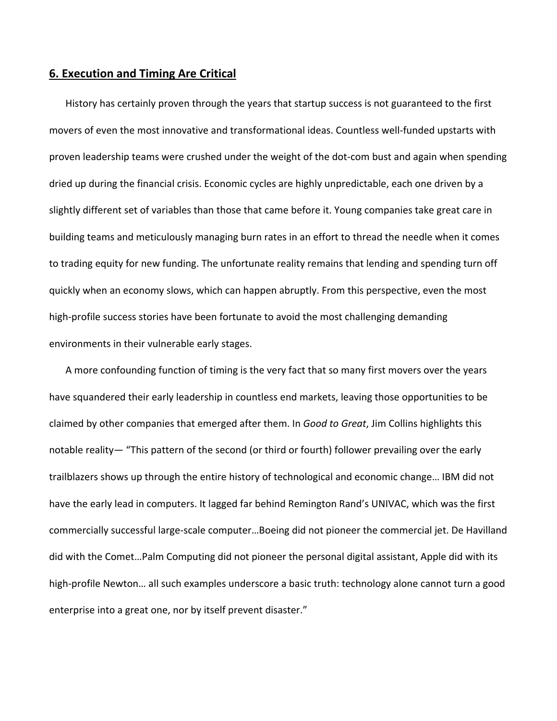## **6. Execution and Timing Are Critical**

History has certainly proven through the years that startup success is not guaranteed to the first movers of even the most innovative and transformational ideas. Countless well-funded upstarts with proven leadership teams were crushed under the weight of the dot-com bust and again when spending dried up during the financial crisis. Economic cycles are highly unpredictable, each one driven by a slightly different set of variables than those that came before it. Young companies take great care in building teams and meticulously managing burn rates in an effort to thread the needle when it comes to trading equity for new funding. The unfortunate reality remains that lending and spending turn off quickly when an economy slows, which can happen abruptly. From this perspective, even the most high-profile success stories have been fortunate to avoid the most challenging demanding environments in their vulnerable early stages.

A more confounding function of timing is the very fact that so many first movers over the years have squandered their early leadership in countless end markets, leaving those opportunities to be claimed by other companies that emerged after them. In *Good to Great*, Jim Collins highlights this notable reality— "This pattern of the second (or third or fourth) follower prevailing over the early trailblazers shows up through the entire history of technological and economic change… IBM did not have the early lead in computers. It lagged far behind Remington Rand's UNIVAC, which was the first commercially successful large‐scale computer…Boeing did not pioneer the commercial jet. De Havilland did with the Comet…Palm Computing did not pioneer the personal digital assistant, Apple did with its high-profile Newton... all such examples underscore a basic truth: technology alone cannot turn a good enterprise into a great one, nor by itself prevent disaster."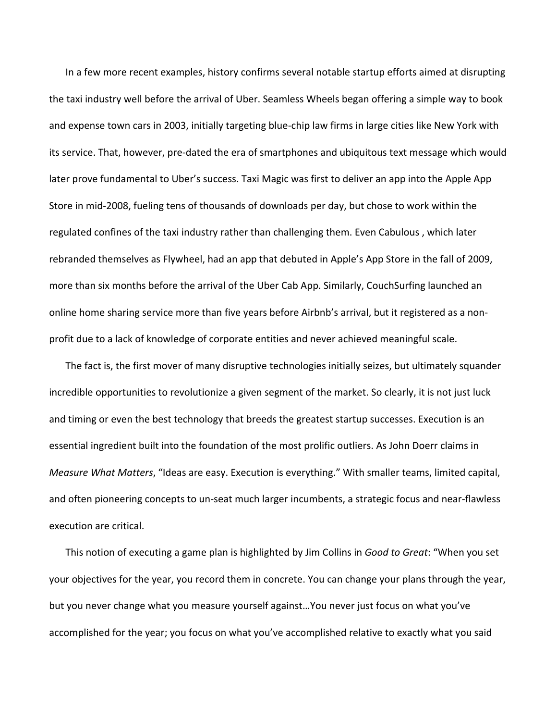In a few more recent examples, history confirms several notable startup efforts aimed at disrupting the taxi industry well before the arrival of Uber. Seamless Wheels began offering a simple way to book and expense town cars in 2003, initially targeting blue‐chip law firms in large cities like New York with its service. That, however, pre‐dated the era of smartphones and ubiquitous text message which would later prove fundamental to Uber's success. Taxi Magic was first to deliver an app into the Apple App Store in mid‐2008, fueling tens of thousands of downloads per day, but chose to work within the regulated confines of the taxi industry rather than challenging them. Even Cabulous , which later rebranded themselves as Flywheel, had an app that debuted in Apple's App Store in the fall of 2009, more than six months before the arrival of the Uber Cab App. Similarly, CouchSurfing launched an online home sharing service more than five years before Airbnb's arrival, but it registered as a non‐ profit due to a lack of knowledge of corporate entities and never achieved meaningful scale.

The fact is, the first mover of many disruptive technologies initially seizes, but ultimately squander incredible opportunities to revolutionize a given segment of the market. So clearly, it is not just luck and timing or even the best technology that breeds the greatest startup successes. Execution is an essential ingredient built into the foundation of the most prolific outliers. As John Doerr claims in *Measure What Matters*, "Ideas are easy. Execution is everything." With smaller teams, limited capital, and often pioneering concepts to un‐seat much larger incumbents, a strategic focus and near‐flawless execution are critical.

This notion of executing a game plan is highlighted by Jim Collins in *Good to Great*: "When you set your objectives for the year, you record them in concrete. You can change your plans through the year, but you never change what you measure yourself against…You never just focus on what you've accomplished for the year; you focus on what you've accomplished relative to exactly what you said